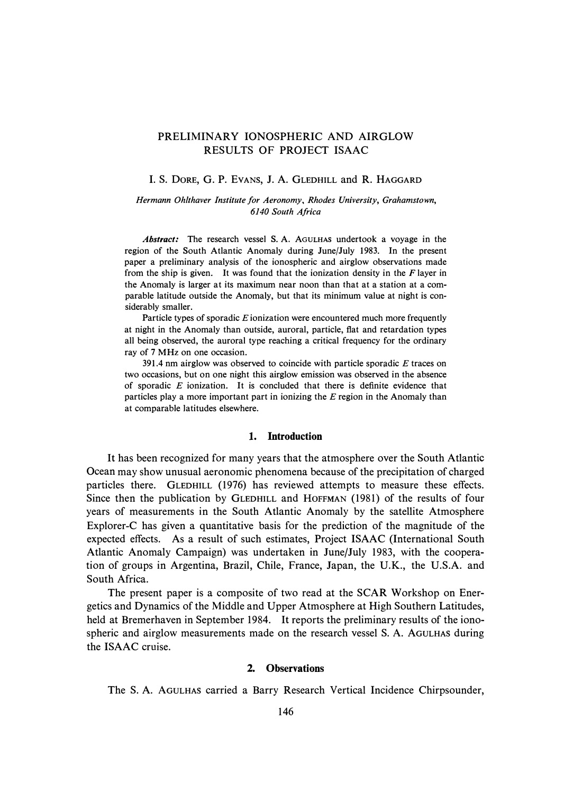# PRELIMINARY IONOSPHERIC AND AIRGLOW RESULTS OF PROJECT ISAAC

#### I. S. DORE, G. P. EVANS, J. A. GLEDHILL and R. HAGGARD

## *Hermann Ohlthaver Institute for Aeronomy, Rhodes University, Grahamstown, 6140 South Africa*

*Abstract:* The research vessel S. A. AouLHAS undertook a voyage in the region of the South Atlantic Anomaly during June/July 1983. In the present paper a preliminary analysis of the ionospheric and airglow observations made from the ship is given. It was found that the ionization density in the  $F$  layer in the Anomaly is larger at its maximum near noon than that at a station at a comparable latitude outside the Anomaly, but that its minimum value at night is considerably smaller.

Particle types of sporadic E ionization were encountered much more frequently at night in the Anomaly than outside, auroral, particle, flat and retardation types all being observed, the auroral type reaching a critical frequency for the ordinary ray of 7 MHz on one occasion.

391.4 nm airglow was observed to coincide with particle sporadic  $E$  traces on two occasions, but on one night this airglow emission was observed in the absence of sporadic E ionization. It is concluded that there is definite evidence that particles play a more important part in ionizing the E region in the Anomaly than at comparable latitudes elsewhere.

# **1. Introduction**

**It** has been recognized for many years that the atmosphere over the South Atlantic Ocean may show unusual aeronomic phenomena because of the precipitation of charged particles there. GLEDHILL (1976) has reviewed attempts to measure these effects. Since then the publication by GLEDHILL and HOFFMAN (1981) of the results of four years of measurements in the South Atlantic Anomaly by the satellite Atmosphere Explorer-C has given a quantitative basis for the prediction of the magnitude of the expected effects. As a result of such estimates, Project ISAAC (International South Atlantic Anomaly Campaign) was undertaken in June/July 1983, with the cooperation of groups in Argentina, Brazil, Chile, France, Japan, the U.K., the U.S.A. and South Africa.

The present paper is a composite of two read at the **SCAR** Workshop on Energetics and Dynamics of the Middle and Upper Atmosphere at High Southern Latitudes, held at Bremerhaven in September 1984. **It** reports the preliminary results of the ionospheric and airglow measurements made on the research vessel S. A. AGULHAS during the ISAAC cruise.

#### **2. Observations**

The S. A. AGULHAS carried a Barry Research Vertical Incidence Chirpsounder,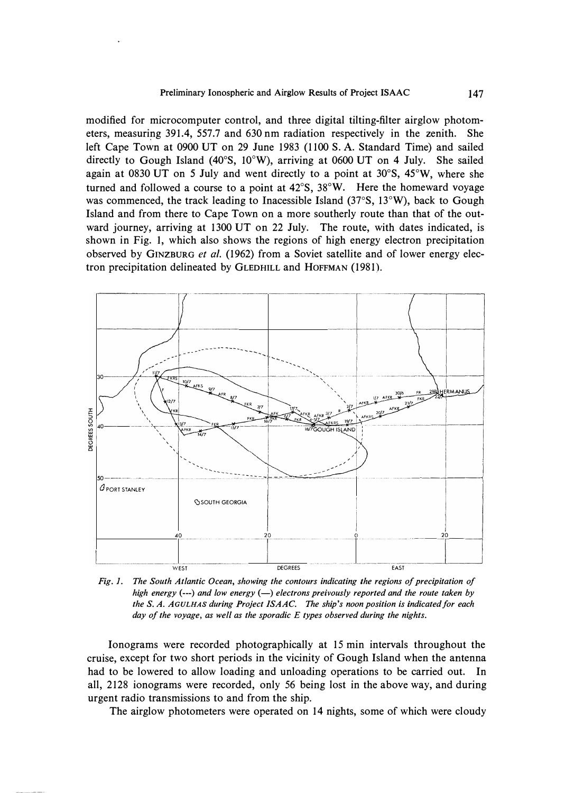modified for microcomputer control, and three digital tilting-filter airglow photometers, measuring 391.4, 557.7 and 630 nm radiation respectively in the zenith. She left Cape Town at 0900 UT on 29 June 1983 (1100 S. A. Standard Time) and sailed directly to Gough Island (40° S, 10°W), arriving at 0600 UT on 4 July. She sailed again at 0830 UT on *5* July and went directly to a point at 30° S, 45°W, where she turned and followed a course to a point at  $42^{\circ}$ S,  $38^{\circ}$ W. Here the homeward voyage was commenced, the track leading to lnacessible Island (37° S, 13°W), back to Gough Island and from there to Cape Town on a more southerly route than that of the outward journey, arriving at 1300 UT on 22 July. The route, with dates indicated, is shown in Fig. I, which also shows the regions of high energy electron precipitation observed by GINZBURG *et al.* (1962) from a Soviet satellite and of lower energy electron precipitation delineated by GLEDHILL and HOFFMAN (1981).



*Fig. 1. The South Atlantic Ocean, showing the contours indicating the regions of precipitation of high energy(---) and low energy(-) electrons preivously reported and the route taken by the S. A. AGULHAS during Project ISAAC. The ship's noon position is indicated for each day of the voyage, as well as the sporadic E types observed during the nights.* 

Ionograms were recorded photographically at 15 min intervals throughout the cruise, except for two short periods in the vicinity of Gough Island when the antenna had to be lowered to allow loading and unloading operations to be carried out. In all, 2128 ionograms were recorded, only 56 being lost in the above way, and during urgent radio transmissions to and from the ship.

The airglow photometers were operated on 14 nights, some of which were cloudy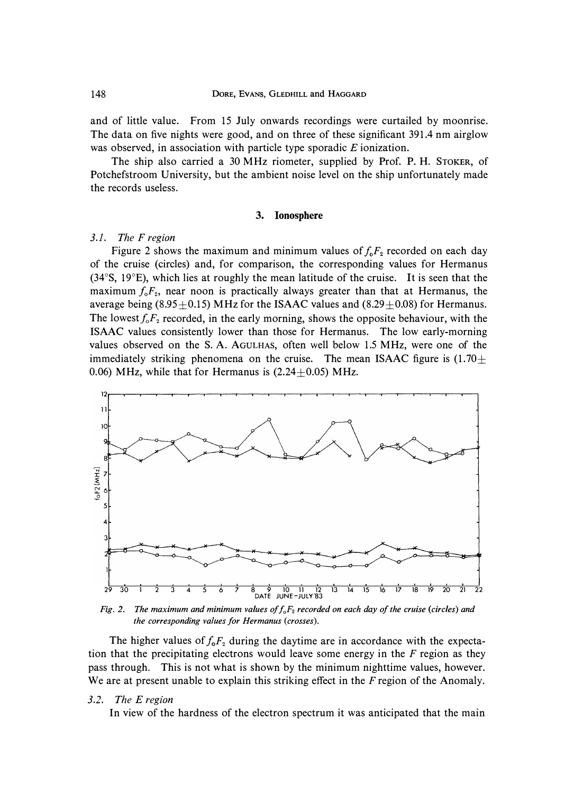**and of little value. From 15 July onwards recordings were curtailed by moonrise. The data on five nights were good, and on three of these significant 391.4 nm airglow was observed, in association with particle type sporadic** *E* **ionization.** 

**The ship also carried a 30 MHz riometer, supplied by Prof. P. H. STOKER, of Potchefstroom University, but the ambient noise level on the ship unfortunately made the records useless.** 

#### **3. Ionosphere**

## *3.1. The F region*

Figure 2 shows the maximum and minimum values of  $f_0F_2$  recorded on each day **of the cruise (circles) and, for comparison, the corresponding values for Hermanus (34**° **S, 19**°**E), which lies at roughly the mean latitude of the cruise. It is seen that the maximum f***0F<sup>2</sup> ,* **near noon is practically always greater than that at Hermanus, the**  average being  $(8.95\pm0.15)$  MHz for the ISAAC values and  $(8.29\pm0.08)$  for Hermanus. The lowest  $f_{\circ}F_2$  recorded, in the early morning, shows the opposite behaviour, with the **ISAAC values consistently lower than those for Hermanus. The low early-morning**  values observed on the S. A. AGULHAS, often well below 1.5 MHz, were one of the **immediately striking phenomena on the cruise. The mean ISAAC figure is**  $(1.70 \pm 1.70)$ 0.06) MHz, while that for Hermanus is  $(2.24\pm0.05)$  MHz.



*Fig. 2. The maximum and minimum values of f0F2 recorded on each day of the cruise (circles) and the corresponding values for Hermanus (crosses).* 

The higher values of  $f_0F_2$  during the daytime are in accordance with the expecta**tion that the precipitating electrons would leave some energy in the** *F* **region as they pass through. This is not what is shown by the minimum nighttime values, however.**  We are at present unable to explain this striking effect in the F region of the Anomaly.

#### *3.2. The E region*

**In view of the hardness of the electron spectrum it was anticipated that the main**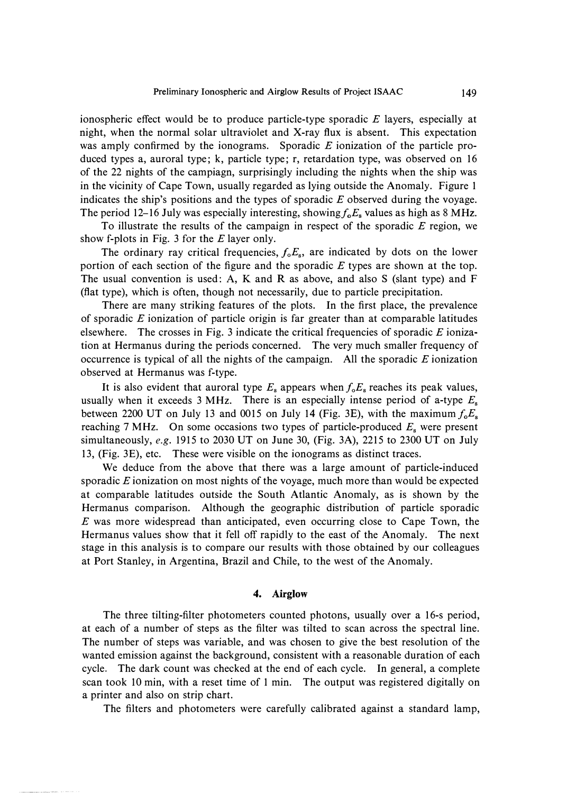**ionospheric effect would be to produce particle-type sporadic** *E* **layers, especially at night, when the normal solar ultraviolet and X-ray flux is absent. This expectation was amply confirmed by the ionograms. Sporadic** *E* **ionization of the particle produced types a, auroral type; k, particle type; r, retardation type, was observed on 16 of the 22 nights of the campiagn, surprisingly including the nights when the ship was in the vicinity of Cape Town, usually regarded as lying outside the Anomaly. Figure 1 indicates the ship's positions and the types of sporadic** *E* **observed during the voyage.**  The period 12-16 July was especially interesting, showing  $f_0E_8$  values as high as 8 MHz.

**To illustrate the results of the campaign in respect of the sporadic** *E* **region, we show f-plots in Fig. 3 for the** *E* **layer only.** 

The ordinary ray critical frequencies,  $f_0E_s$ , are indicated by dots on the lower **portion of each section of the figure and the sporadic** *E* **types are shown at the top. The usual convention is used: A, K and R as above, and also S (slant type) and F (flat type), which is often, though not necessarily, due to particle precipitation.** 

**There are many striking features of the plots. In the first place, the prevalence of sporadic** *E* **ionization of particle origin is far greater than at comparable latitudes elsewhere. The crosses in Fig. 3 indicate the critical frequencies of sporadic E ionization at Hermanus during the periods concerned. The very much smaller frequency of occurrence is typical of all the nights of the campaign. All the sporadic** *E* **ionization observed at Hermanus was f-type.** 

It is also evident that auroral type  $E_s$  appears when  $f_oE_s$  reaches its peak values, **usually when it exceeds 3 MHz. There is an especially intense period of a-type E**<sup>s</sup> **between 2200 UT on July 13 and 0015 on July 14 (Fig. 3E), with the maximum**  $f_0E_s$ **reaching 7 MHz. On some occasions two types of particle-produced E**s **were present simultaneously,** *e.g.* **1915 to 2030 UT on June 30, (Fig. 3A), 2215 to 2300 UT on July 13, (Fig. 3E), etc. These were visible on the ionograms as distinct traces.** 

**We deduce from the above that there was a large amount of particle-induced sporadic** *E* **ionization on most nights of the voyage, much more than would be expected at comparable latitudes outside the South Atlantic Anomaly, as is shown by the Hermanus comparison. Although the geographic distribution of particle sporadic**  *E* **was more widespread than anticipated, even occurring close to Cape Town, the Hermanus values show that it fell off rapidly to the east of the Anomaly. The next stage in this analysis is to compare our results with those obtained by our colleagues at Port Stanley, in Argentina, Brazil and Chile, to the west of the Anomaly.** 

# **4. Airglow**

**The three tilting-filter photometers counted photons, usually over a 16-s period, at each of a number of steps as the filter was tilted to scan across the spectral line. The number of steps was variable, and was chosen to give the best resolution of the wanted emission against the background, consistent with a reasonable duration of each cycle. The dark count was checked at the end of each cycle. In general, a complete scan took 10 min, with a reset time of 1 min. The output was registered digitally on a printer and also on strip chart.** 

**The filters and photometers were carefully calibrated against a standard lamp,**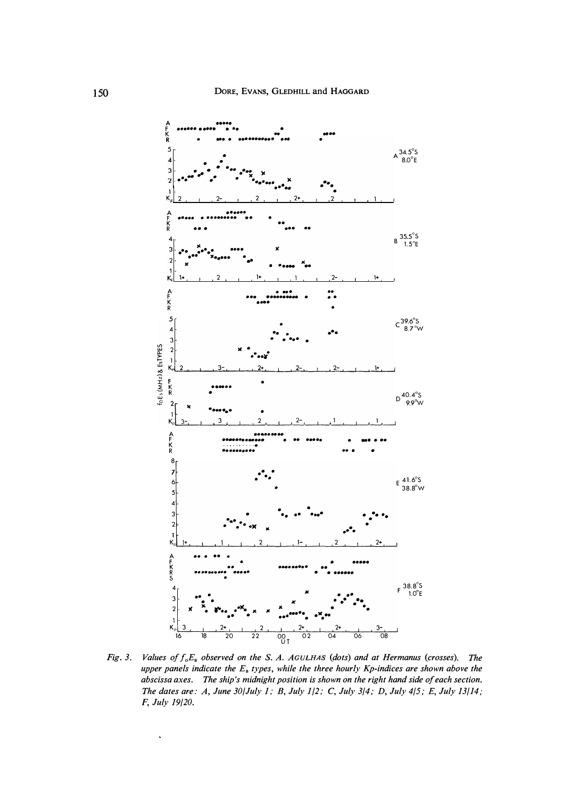

*Fig. 3. Values of f0E8 observed on the* S. *A. AGULHAS (dots) and at Hermanus (crosses). The upper panels indicate the E***8** *types, while the three hourly Kp-indices are shown above the abscissa axes. The ship's midnight position is shown on the right hand side of each section. The dates are: A, June 30/July 1; B, July 1 /2;* C, *July 3/4; D, July 4/5; E, July 13/ 14; F, July 19/20.* 

 $\ddot{\phantom{0}}$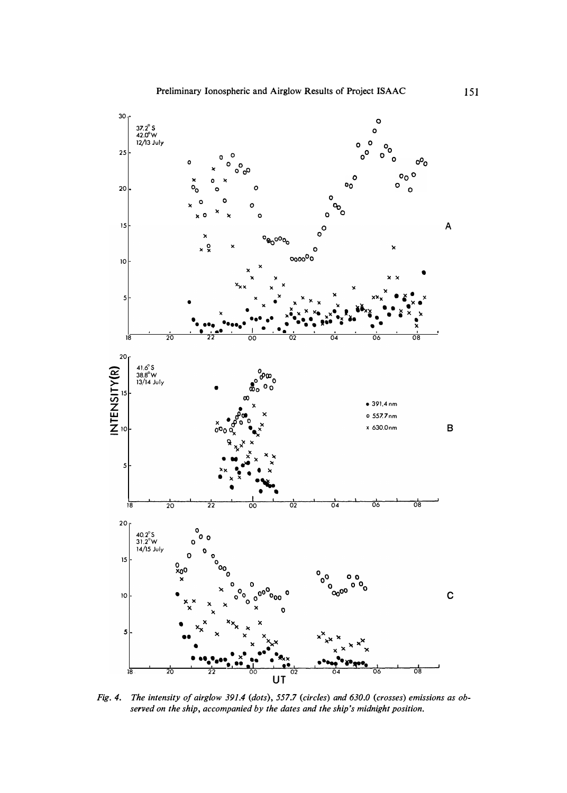

*Fig. 4. The intensity of airglow 391.4 (dots), 557.7 (circles) and 630.0 (crosses) emissions as observed on the ship, accompanied by the dates and the ship's midnight position.*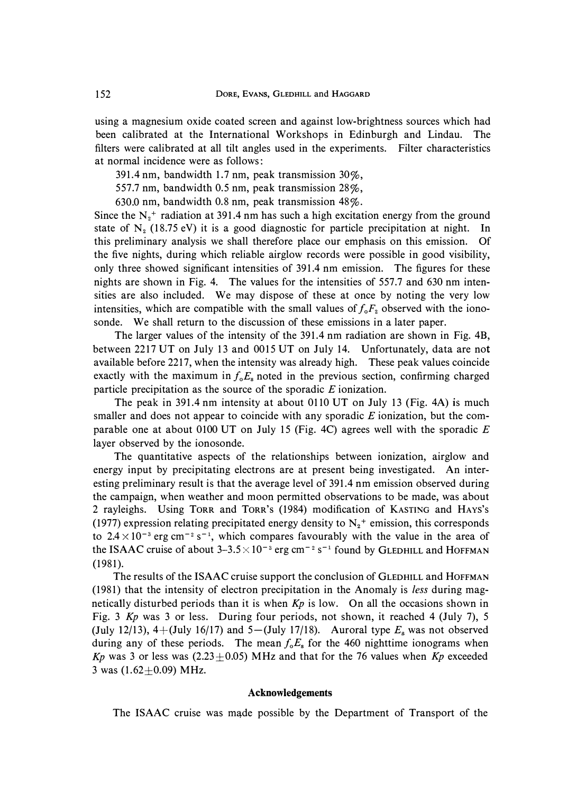**using a magnesium oxide coated screen and against low-brightness sources which had been calibrated at the International Workshops in Edinburgh and Lindau. The filters were calibrated at all tilt angles used in the experiments. Filter characteristics at normal incidence were as follows:** 

**391.4 nm, bandwidth 1.7 nm, peak transmission 30%,** 

**557.7 nm, bandwidth 0.5 nm, peak transmission 28%,** 

**630.0 nm, bandwidth 0.8 nm, peak transmission 48%.** 

Since the  $N<sub>2</sub>$ <sup>+</sup> radiation at 391.4 nm has such a high excitation energy from the ground state of  $N_2$  (18.75 eV) it is a good diagnostic for particle precipitation at night. In **this preliminary analysis we shall therefore place our emphasis on this emission. Of the five nights, during which reliable airglow records were possible in good visibility, only three showed significant intensities of 391.4 nm emission. The figures for these nights are shown in Fig. 4. The values for the intensities of 557.7 and 630 nm intensities are also included. We may dispose of these at once by noting the very low**  intensities, which are compatible with the small values of  $f_0F_2$  observed with the iono**sonde. We shall return to the discussion of these emissions in a later paper.** 

**The larger values of the intensity of the 391.4 nm radiation are shown in Fig. 4B, between 2217 UT on July 13 and 0015 UT on July 14. Unfortunately, data are not available before 2217, when the intensity was already high. These peak values coincide**  exactly with the maximum in  $f_0E_s$  noted in the previous section, confirming charged **particle precipitation as the source of the sporadic** *E* **ionization.** 

**The peak in 391.4 nm intensity at about 0110 UT on July 13 (Fig. 4A) is much smaller and does not appear to coincide with any sporadic** *E* **ionization, but the comparable one at about 0100 UT on July 15 (Fig. 4C) agrees well with the sporadic** *E*  **layer observed by the ionosonde.** 

**The quantitative aspects of the relationships between ionization, airglow and energy input by precipitating electrons are at present being investigated. An interesting preliminary result is that the average level of 391.4 nm emission observed during the campaign, when weather and moon permitted observations to be made, was about 2 rayleighs. Using TORR and TORR'S (1984) modification of KASTING and HAYS's**  (1977) expression relating precipitated energy density to  $N_2$ <sup>+</sup> emission, this corresponds to  $2.4 \times 10^{-3}$  erg cm<sup>-2</sup> s<sup>-1</sup>, which compares favourably with the value in the area of **the ISAAC cruise of about 3-3.5**  $\times$  **10<sup>-3</sup> erg cm<sup>-2</sup> s<sup>-1</sup> found by GLEDHILL and HOFFMAN (1981).** 

**The results of the ISAAC cruise support the conclusion of** GLEDHILL **and HOFFMAN (1981) that the intensity of electron precipitation in the Anomaly is** *less* **during magnetically disturbed periods than it is when** *Kp* **is low. On all the occasions shown in Fig. 3** *Kp* **was 3 or less. During four periods, not shown, it reached 4 (July 7), 5**  (July 12/13),  $4+($ July 16/17) and  $5-($ July 17/18). Auroral type  $E_s$  was not observed during any of these periods. The mean  $f_0E_s$  for the 460 nighttime ionograms when  $Kp$  was 3 or less was (2.23 $\pm$ 0.05) MHz and that for the 76 values when  $Kp$  exceeded 3 was  $(1.62 \pm 0.09)$  MHz.

## **Acknowledgements**

The ISAAC cruise was made possible by the Department of Transport of the